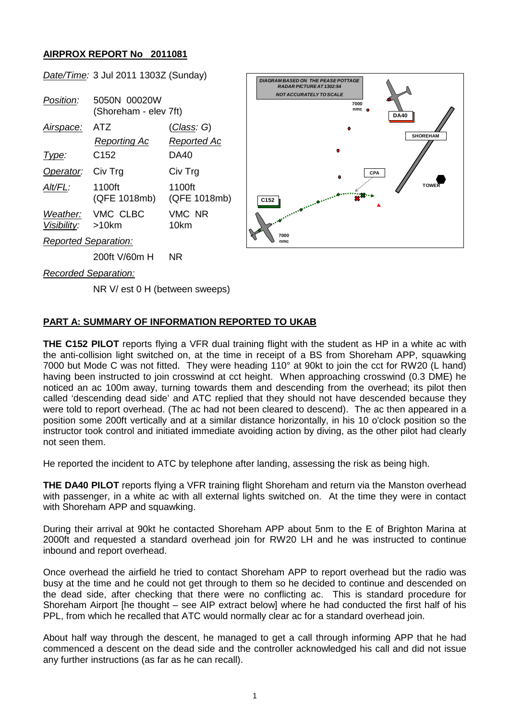## **AIRPROX REPORT No 2011081**

*Date/Time:* 3 Jul 2011 1303Z (Sunday)

| <i>Position:</i>            | 5050N 00020W<br>(Shoreham - elev 7ft) |                        |
|-----------------------------|---------------------------------------|------------------------|
| Airspace:                   | ATZ                                   | (Class: G)             |
|                             | Reporting Ac                          | Reported Ac            |
| Type:                       | C152                                  | DA40                   |
| Operator: Civ Trg           |                                       | Civ Trg                |
| Alt/FL:                     | 1100ft<br>(QFE 1018mb)                | 1100ft<br>(QFE 1018mb) |
| Visibility: >10km           | Weather: VMC CLBC                     | VMC NR<br>10km         |
| <b>Reported Separation:</b> |                                       |                        |
|                             | 200ft V/60m H                         | <b>NR</b>              |



*Recorded Separation:*

NR V/ est 0 H (between sweeps)

## **PART A: SUMMARY OF INFORMATION REPORTED TO UKAB**

**THE C152 PILOT** reports flying a VFR dual training flight with the student as HP in a white ac with the anti-collision light switched on, at the time in receipt of a BS from Shoreham APP, squawking 7000 but Mode C was not fitted. They were heading 110° at 90kt to join the cct for RW20 (L hand) having been instructed to join crosswind at cct height. When approaching crosswind (0.3 DME) he noticed an ac 100m away, turning towards them and descending from the overhead; its pilot then called 'descending dead side' and ATC replied that they should not have descended because they were told to report overhead. (The ac had not been cleared to descend). The ac then appeared in a position some 200ft vertically and at a similar distance horizontally, in his 10 o'clock position so the instructor took control and initiated immediate avoiding action by diving, as the other pilot had clearly not seen them.

He reported the incident to ATC by telephone after landing, assessing the risk as being high.

**THE DA40 PILOT** reports flying a VFR training flight Shoreham and return via the Manston overhead with passenger, in a white ac with all external lights switched on. At the time they were in contact with Shoreham APP and squawking.

During their arrival at 90kt he contacted Shoreham APP about 5nm to the E of Brighton Marina at 2000ft and requested a standard overhead join for RW20 LH and he was instructed to continue inbound and report overhead.

Once overhead the airfield he tried to contact Shoreham APP to report overhead but the radio was busy at the time and he could not get through to them so he decided to continue and descended on the dead side, after checking that there were no conflicting ac. This is standard procedure for Shoreham Airport [he thought – see AIP extract below] where he had conducted the first half of his PPL, from which he recalled that ATC would normally clear ac for a standard overhead join.

About half way through the descent, he managed to get a call through informing APP that he had commenced a descent on the dead side and the controller acknowledged his call and did not issue any further instructions (as far as he can recall).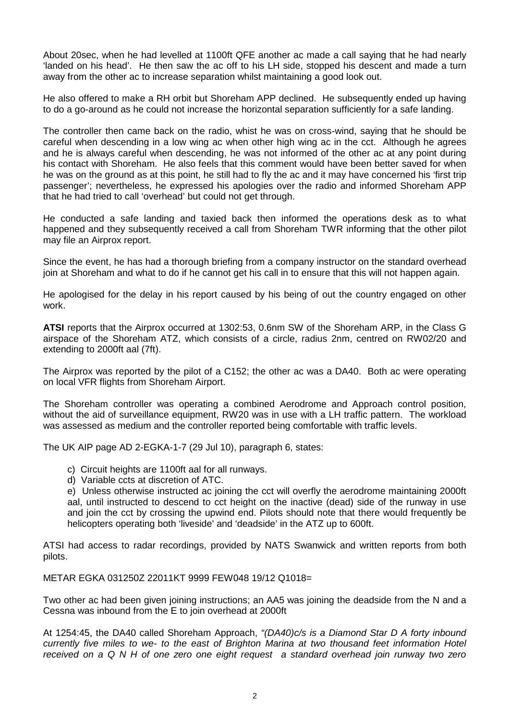About 20sec, when he had levelled at 1100ft QFE another ac made a call saying that he had nearly 'landed on his head'. He then saw the ac off to his LH side, stopped his descent and made a turn away from the other ac to increase separation whilst maintaining a good look out.

He also offered to make a RH orbit but Shoreham APP declined. He subsequently ended up having to do a go-around as he could not increase the horizontal separation sufficiently for a safe landing.

The controller then came back on the radio, whist he was on cross-wind, saying that he should be careful when descending in a low wing ac when other high wing ac in the cct. Although he agrees and he is always careful when descending, he was not informed of the other ac at any point during his contact with Shoreham. He also feels that this comment would have been better saved for when he was on the ground as at this point, he still had to fly the ac and it may have concerned his 'first trip passenger'; nevertheless, he expressed his apologies over the radio and informed Shoreham APP that he had tried to call 'overhead' but could not get through.

He conducted a safe landing and taxied back then informed the operations desk as to what happened and they subsequently received a call from Shoreham TWR informing that the other pilot may file an Airprox report.

Since the event, he has had a thorough briefing from a company instructor on the standard overhead join at Shoreham and what to do if he cannot get his call in to ensure that this will not happen again.

He apologised for the delay in his report caused by his being of out the country engaged on other work.

**ATSI** reports that the Airprox occurred at 1302:53, 0.6nm SW of the Shoreham ARP, in the Class G airspace of the Shoreham ATZ, which consists of a circle, radius 2nm, centred on RW02/20 and extending to 2000ft aal (7ft).

The Airprox was reported by the pilot of a C152; the other ac was a DA40. Both ac were operating on local VFR flights from Shoreham Airport.

The Shoreham controller was operating a combined Aerodrome and Approach control position, without the aid of surveillance equipment, RW20 was in use with a LH traffic pattern. The workload was assessed as medium and the controller reported being comfortable with traffic levels.

The UK AIP page AD 2-EGKA-1-7 (29 Jul 10), paragraph 6, states:

- c) Circuit heights are 1100ft aal for all runways.
- d) Variable ccts at discretion of ATC.

e) Unless otherwise instructed ac joining the cct will overfly the aerodrome maintaining 2000ft aal, until instructed to descend to cct height on the inactive (dead) side of the runway in use and join the cct by crossing the upwind end. Pilots should note that there would frequently be helicopters operating both 'liveside' and 'deadside' in the ATZ up to 600ft.

ATSI had access to radar recordings, provided by NATS Swanwick and written reports from both pilots.

METAR EGKA 031250Z 22011KT 9999 FEW048 19/12 Q1018=

Two other ac had been given joining instructions; an AA5 was joining the deadside from the N and a Cessna was inbound from the E to join overhead at 2000ft

At 1254:45, the DA40 called Shoreham Approach, *"(DA40)c/s is a Diamond Star D A forty inbound currently five miles to we- to the east of Brighton Marina at two thousand feet information Hotel received on a Q N H of one zero one eight request a standard overhead join runway two zero*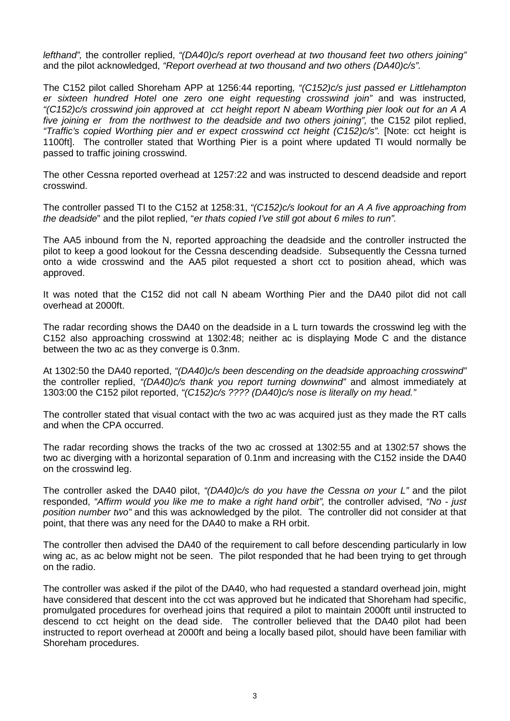*lefthand",* the controller replied, *"(DA40)c/s report overhead at two thousand feet two others joining"* and the pilot acknowledged, *"Report overhead at two thousand and two others (DA40)c/s".*

The C152 pilot called Shoreham APP at 1256:44 reporting*, "(C152)c/s just passed er Littlehampton er sixteen hundred Hotel one zero one eight requesting crosswind join"* and was instructed*, "(C152)c/s crosswind join approved at cct height report N abeam Worthing pier look out for an A A five joining er from the northwest to the deadside and two others joining*", the C152 pilot replied, *"Traffic's copied Worthing pier and er expect crosswind cct height (C152)c/s".* [Note: cct height is 1100ft]. The controller stated that Worthing Pier is a point where updated TI would normally be passed to traffic joining crosswind.

The other Cessna reported overhead at 1257:22 and was instructed to descend deadside and report crosswind.

The controller passed TI to the C152 at 1258:31, *"(C152)c/s lookout for an A A five approaching from the deadside*" and the pilot replied, "*er thats copied I've still got about 6 miles to run".*

The AA5 inbound from the N, reported approaching the deadside and the controller instructed the pilot to keep a good lookout for the Cessna descending deadside. Subsequently the Cessna turned onto a wide crosswind and the AA5 pilot requested a short cct to position ahead, which was approved.

It was noted that the C152 did not call N abeam Worthing Pier and the DA40 pilot did not call overhead at 2000ft.

The radar recording shows the DA40 on the deadside in a L turn towards the crosswind leg with the C152 also approaching crosswind at 1302:48; neither ac is displaying Mode C and the distance between the two ac as they converge is 0.3nm.

At 1302:50 the DA40 reported, *"(DA40)c/s been descending on the deadside approaching crosswind"* the controller replied, *"(DA40)c/s thank you report turning downwind"* and almost immediately at 1303:00 the C152 pilot reported, *"(C152)c/s ???? (DA40)c/s nose is literally on my head."*

The controller stated that visual contact with the two ac was acquired just as they made the RT calls and when the CPA occurred.

The radar recording shows the tracks of the two ac crossed at 1302:55 and at 1302:57 shows the two ac diverging with a horizontal separation of 0.1nm and increasing with the C152 inside the DA40 on the crosswind leg.

The controller asked the DA40 pilot, *"(DA40)c/s do you have the Cessna on your L"* and the pilot responded, *"Affirm would you like me to make a right hand orbit",* the controller advised, *"No - just position number two"* and this was acknowledged by the pilot. The controller did not consider at that point, that there was any need for the DA40 to make a RH orbit.

The controller then advised the DA40 of the requirement to call before descending particularly in low wing ac, as ac below might not be seen. The pilot responded that he had been trying to get through on the radio.

The controller was asked if the pilot of the DA40, who had requested a standard overhead join, might have considered that descent into the cct was approved but he indicated that Shoreham had specific, promulgated procedures for overhead joins that required a pilot to maintain 2000ft until instructed to descend to cct height on the dead side. The controller believed that the DA40 pilot had been instructed to report overhead at 2000ft and being a locally based pilot, should have been familiar with Shoreham procedures.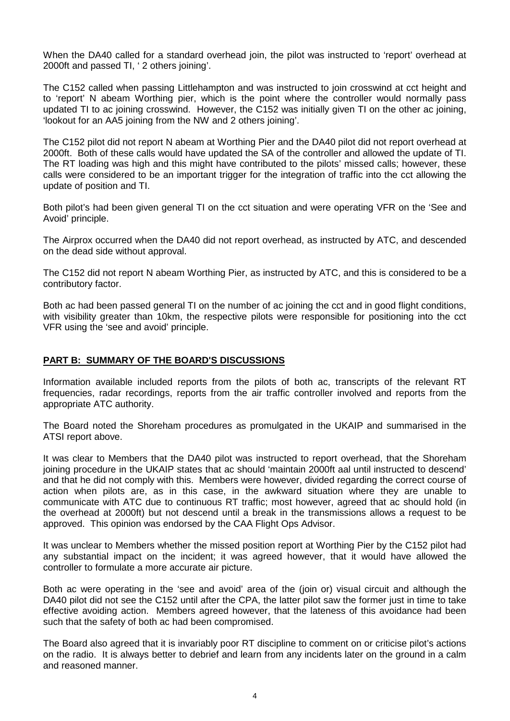When the DA40 called for a standard overhead join, the pilot was instructed to 'report' overhead at 2000ft and passed TI, ' 2 others joining'.

The C152 called when passing Littlehampton and was instructed to join crosswind at cct height and to 'report' N abeam Worthing pier, which is the point where the controller would normally pass updated TI to ac joining crosswind. However, the C152 was initially given TI on the other ac joining, 'lookout for an AA5 joining from the NW and 2 others joining'.

The C152 pilot did not report N abeam at Worthing Pier and the DA40 pilot did not report overhead at 2000ft. Both of these calls would have updated the SA of the controller and allowed the update of TI. The RT loading was high and this might have contributed to the pilots' missed calls; however, these calls were considered to be an important trigger for the integration of traffic into the cct allowing the update of position and TI.

Both pilot's had been given general TI on the cct situation and were operating VFR on the 'See and Avoid' principle.

The Airprox occurred when the DA40 did not report overhead, as instructed by ATC, and descended on the dead side without approval.

The C152 did not report N abeam Worthing Pier, as instructed by ATC, and this is considered to be a contributory factor.

Both ac had been passed general TI on the number of ac joining the cct and in good flight conditions, with visibility greater than 10km, the respective pilots were responsible for positioning into the cct VFR using the 'see and avoid' principle.

## **PART B: SUMMARY OF THE BOARD'S DISCUSSIONS**

Information available included reports from the pilots of both ac, transcripts of the relevant RT frequencies, radar recordings, reports from the air traffic controller involved and reports from the appropriate ATC authority.

The Board noted the Shoreham procedures as promulgated in the UKAIP and summarised in the ATSI report above.

It was clear to Members that the DA40 pilot was instructed to report overhead, that the Shoreham joining procedure in the UKAIP states that ac should 'maintain 2000ft aal until instructed to descend' and that he did not comply with this. Members were however, divided regarding the correct course of action when pilots are, as in this case, in the awkward situation where they are unable to communicate with ATC due to continuous RT traffic; most however, agreed that ac should hold (in the overhead at 2000ft) but not descend until a break in the transmissions allows a request to be approved. This opinion was endorsed by the CAA Flight Ops Advisor.

It was unclear to Members whether the missed position report at Worthing Pier by the C152 pilot had any substantial impact on the incident; it was agreed however, that it would have allowed the controller to formulate a more accurate air picture.

Both ac were operating in the 'see and avoid' area of the (join or) visual circuit and although the DA40 pilot did not see the C152 until after the CPA, the latter pilot saw the former just in time to take effective avoiding action. Members agreed however, that the lateness of this avoidance had been such that the safety of both ac had been compromised.

The Board also agreed that it is invariably poor RT discipline to comment on or criticise pilot's actions on the radio. It is always better to debrief and learn from any incidents later on the ground in a calm and reasoned manner.